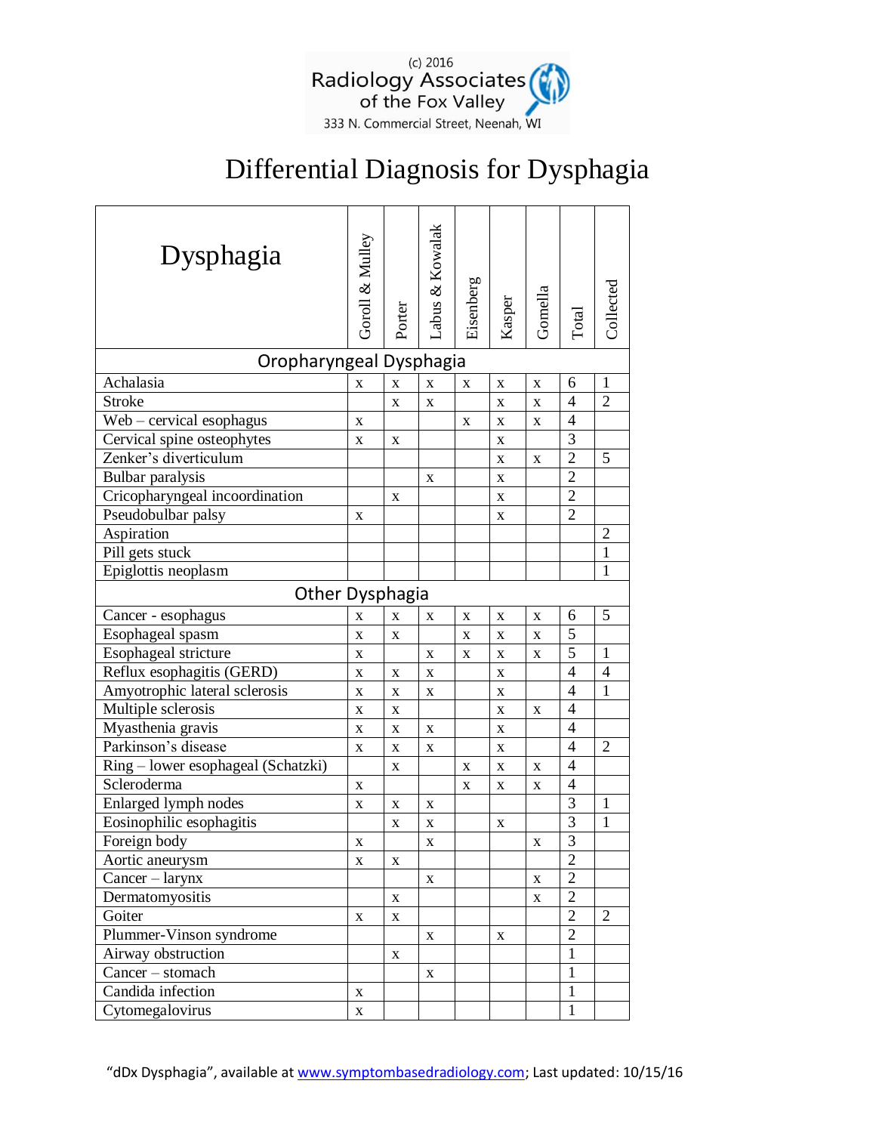

## Differential Diagnosis for Dysphagia

| Dysphagia                          | Goroll & Mulley | Porter | Labus & Kowalak | Eisenberg   | Kasper      | Gomella     | Total          | Collected      |  |  |  |
|------------------------------------|-----------------|--------|-----------------|-------------|-------------|-------------|----------------|----------------|--|--|--|
| Oropharyngeal Dysphagia            |                 |        |                 |             |             |             |                |                |  |  |  |
| Achalasia                          | X               | X      | X               | X           | $\mathbf X$ | $\mathbf X$ | 6              | $\mathbf{1}$   |  |  |  |
| <b>Stroke</b>                      |                 | X      | X               |             | X           | $\mathbf X$ | $\overline{4}$ | $\overline{2}$ |  |  |  |
| $Web - cervical$ esophagus         | X               |        |                 | $\mathbf X$ | X           | X           | 4              |                |  |  |  |
| Cervical spine osteophytes         | X               | X      |                 |             | $\mathbf X$ |             | 3              |                |  |  |  |
| Zenker's diverticulum              |                 |        |                 |             | X           | X           | $\overline{2}$ | 5              |  |  |  |
| Bulbar paralysis                   |                 |        | X               |             | $\mathbf X$ |             | $\overline{2}$ |                |  |  |  |
| Cricopharyngeal incoordination     |                 | X      |                 |             | X           |             | $\overline{2}$ |                |  |  |  |
| Pseudobulbar palsy                 | X               |        |                 |             | X           |             | $\overline{2}$ |                |  |  |  |
| Aspiration                         |                 |        |                 |             |             |             |                | $\overline{2}$ |  |  |  |
| Pill gets stuck                    |                 |        |                 |             |             |             |                | $\mathbf{1}$   |  |  |  |
| Epiglottis neoplasm                |                 |        |                 |             |             |             |                | 1              |  |  |  |
| <b>Other Dysphagia</b>             |                 |        |                 |             |             |             |                |                |  |  |  |
| Cancer - esophagus                 | X               | X      | X               | X           | X           | $\mathbf X$ | 6              | 5              |  |  |  |
| Esophageal spasm                   | X               | X      |                 | X           | $\mathbf X$ | $\mathbf X$ | 5              |                |  |  |  |
| Esophageal stricture               | X               |        | $\mathbf X$     | X           | $\mathbf X$ | $\mathbf X$ | 5              | $\mathbf{1}$   |  |  |  |
| Reflux esophagitis (GERD)          | $\mathbf X$     | X      | $\mathbf X$     |             | $\mathbf X$ |             | $\overline{4}$ | $\overline{4}$ |  |  |  |
| Amyotrophic lateral sclerosis      | $\mathbf X$     | X      | X               |             | $\mathbf X$ |             | $\overline{4}$ | 1              |  |  |  |
| Multiple sclerosis                 | $\mathbf X$     | X      |                 |             | X           | X           | $\overline{4}$ |                |  |  |  |
| Myasthenia gravis                  | X               | X      | $\mathbf X$     |             | $\mathbf X$ |             | $\overline{4}$ |                |  |  |  |
| Parkinson's disease                | X               | X      | X               |             | X           |             | 4              | $\overline{2}$ |  |  |  |
| Ring – lower esophageal (Schatzki) |                 | X      |                 | X           | $\mathbf X$ | $\mathbf X$ | $\overline{4}$ |                |  |  |  |
| Scleroderma                        | X               |        |                 | X           | X           | X           | $\overline{4}$ |                |  |  |  |
| Enlarged lymph nodes               | X               | X      | X               |             |             |             | 3              | $\mathbf{1}$   |  |  |  |
| Eosinophilic esophagitis           |                 | X      | $\mathbf X$     |             | X           |             | 3              | $\mathbf 1$    |  |  |  |
| Foreign body                       | X               |        | $\mathbf X$     |             |             | $\mathbf X$ | 3              |                |  |  |  |
| Aortic aneurysm                    | $\mathbf X$     | X      |                 |             |             |             | $\overline{2}$ |                |  |  |  |
| $Cancer - larynx$                  |                 |        | $\mathbf X$     |             |             | $\mathbf X$ | $\overline{2}$ |                |  |  |  |
| Dermatomyositis                    |                 | X      |                 |             |             | $\mathbf X$ | $\overline{2}$ |                |  |  |  |
| Goiter                             | X               | X      |                 |             |             |             | $\overline{2}$ | 2              |  |  |  |
| Plummer-Vinson syndrome            |                 |        | X               |             | $\mathbf X$ |             | $\overline{2}$ |                |  |  |  |
| Airway obstruction                 |                 | X      |                 |             |             |             | 1              |                |  |  |  |
| Cancer - stomach                   |                 |        | X               |             |             |             | $\mathbf{1}$   |                |  |  |  |
| Candida infection                  | X               |        |                 |             |             |             | $\mathbf{1}$   |                |  |  |  |
| Cytomegalovirus                    | X               |        |                 |             |             |             | $\mathbf{1}$   |                |  |  |  |